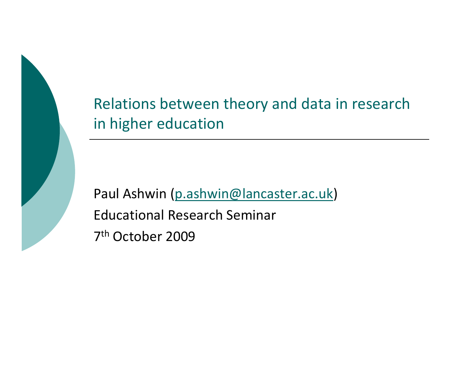

Relations between theory and data in research in higher education

Paul Ashwin (p.ashwin@lancaster.ac.uk)Educational Research Seminar7<sup>th</sup> October 2009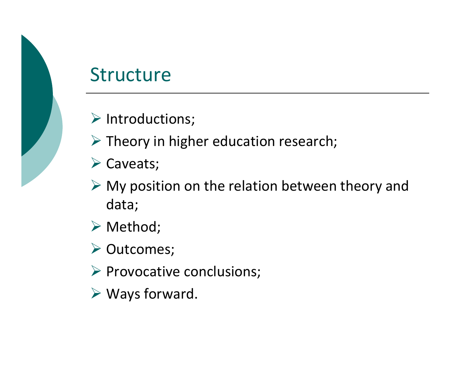#### **Structure**

- $\blacktriangleright$  Introductions;
- > Theory in higher education research;
- Caveats;
- $\triangleright$  My position on the relation between theory and data;
- $\blacktriangleright$  Method;
- Outcomes;
- Provocative conclusions;
- Ways forward.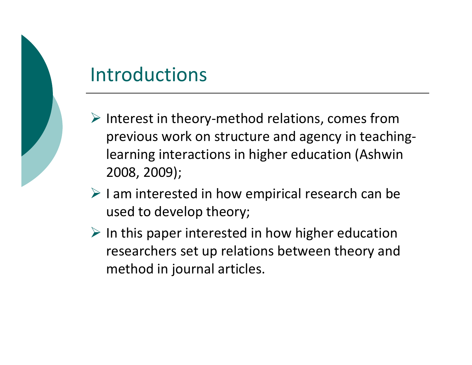## Introductions

- Interest in theory-method relations, comes from previous work on structure and agency in teachinglearning interactions in higher education (Ashwin 2008, 2009);
- $\triangleright$  I am interested in how empirical research can be used to develop theory;
- $\triangleright$  In this paper interested in how higher education researchers set up relations between theory and method in journal articles.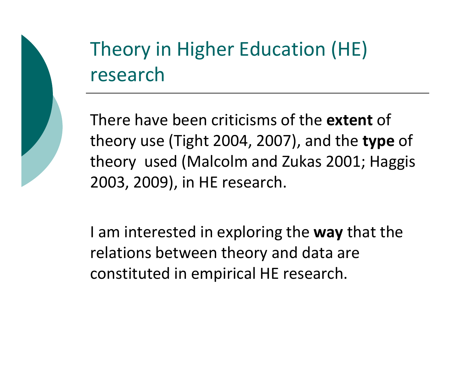# Theory in Higher Education (HE) research

There have been criticisms of the **extent** of theory use (Tight 2004, 2007), and the type of theory used (Malcolm and Zukas 2001; Haggis 2003, 2009), in HE research.

I am interested in exploring the way that the relations between theory and data are constituted in empirical HE research.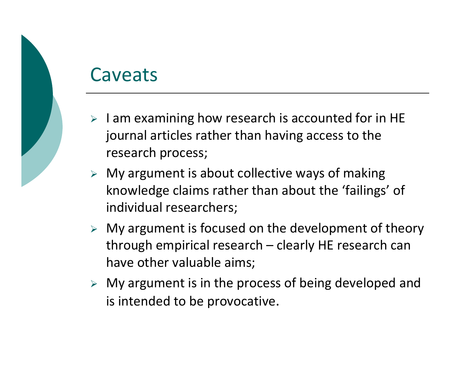#### Caveats

- $\triangleright$  I am examining how research is accounted for in HE journal articles rather than having access to the research process;
- > My argument is about collective ways of making knowledge claims rather than about the 'failings' of individual researchers;
- $\triangleright$  My argument is focused on the development of theory through empirical research – clearly HE research canhave other valuable aims;
- My argument is in the process of being developed and is intended to be provocative.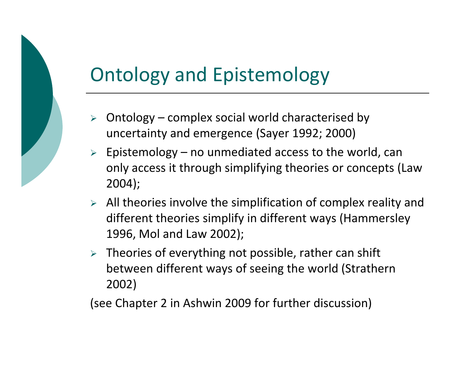# Ontology and Epistemology

- $\triangleright$  Ontology complex social world characterised by uncertainty and emergence (Sayer 1992; 2000)
- $\triangleright$  Epistemology no unmediated access to the world, can only access it through simplifying theories or concepts (Law 2004);
- $\triangleright$  All theories involve the simplification of complex reality and different theories simplify in different ways (Hammersley1996, Mol and Law 2002);
- $\triangleright$  Theories of everything not possible, rather can shift between different ways of seeing the world (Strathern2002)

(see Chapter 2 in Ashwin 2009 for further discussion)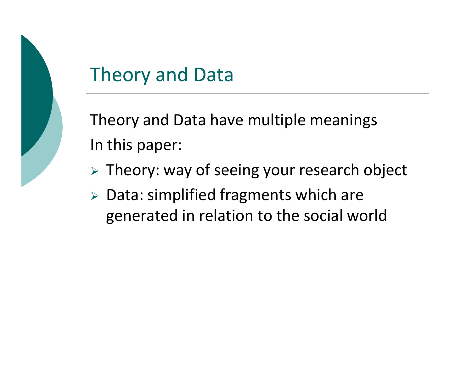

### Theory and Data

Theory and Data have multiple meaningsIn this paper:

- $\triangleright$  Theory: way of seeing your research object
- Data: simplified fragments which are generated in relation to the social world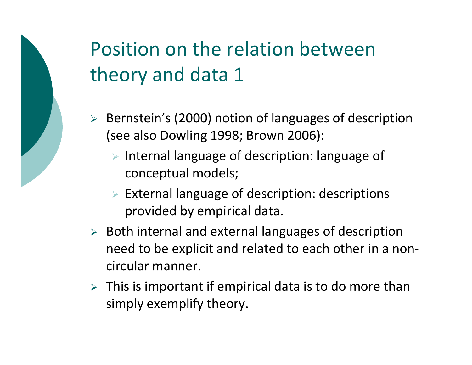# Position on the relation between theory and data 1

- Bernstein's (2000) notion of languages of description (see also Dowling 1998; Brown 2006):
	- > Internal language of description: language of conceptual models;
	- External language of description: descriptions provided by empirical data.
- Both internal and external languages of description need to be explicit and related to each other in a noncircular manner.
- $\triangleright$  This is important if empirical data is to do more than simply exemplify theory.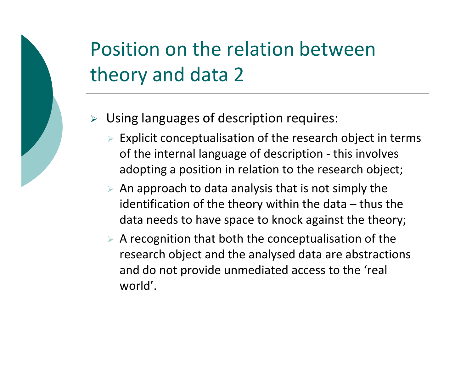# Position on the relation between theory and data 2

- $\blacktriangleright$  Using languages of description requires:
	- > Explicit conceptualisation of the research object in terms of the internal language of description - this involves adopting a position in relation to the research object;
	- $\triangleright$  An approach to data analysis that is not simply the identification of the theory within the data  $-$  thus the data needs to have space to knock against the theory;
	- $\triangleright$  A recognition that both the conceptualisation of the research object and the analysed data are abstractions and do not provide unmediated access to the 'real world'.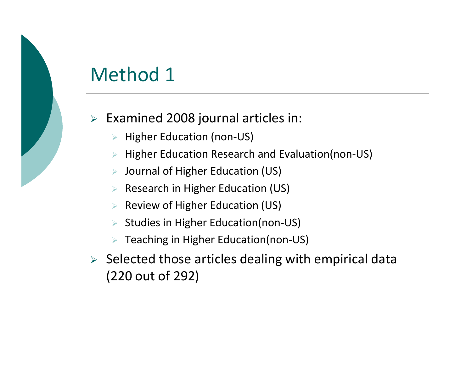## Method 1

- Examined 2008 journal articles in:
	- $\blacktriangleright$ Higher Education (non-US)
	- $\blacktriangleright$ Higher Education Research and Evaluation(non-US)
	- $\blacktriangleright$ Journal of Higher Education (US)
	- $\blacktriangleright$ Research in Higher Education (US)
	- $\blacktriangleright$ Review of Higher Education (US)
	- $\blacktriangleright$ Studies in Higher Education(non-US)
	- Teaching in Higher Education(non-US)
- $\triangleright$  Selected those articles dealing with empirical data (220 out of 292)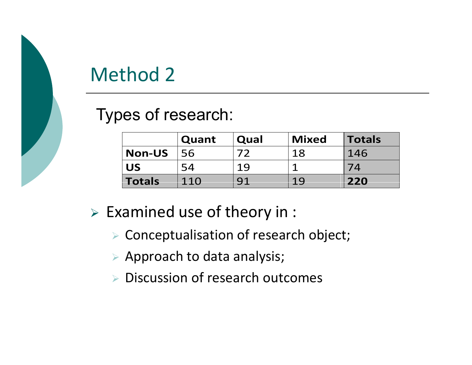#### Method 2

Types of research:

|               | Quant | Qual | <b>Mixed</b> | <b>Totals</b> |
|---------------|-------|------|--------------|---------------|
| <b>Non-US</b> | 56    |      | 18           | 146           |
| <b>US</b>     | 54    | 19   |              |               |
| Totals        | 110   | 91   | 19           | 220           |

- $\triangleright$  Examined use of theory in :
	- Conceptualisation of research object;
	- $\triangleright$  Approach to data analysis;
	- ▶ Discussion of research outcomes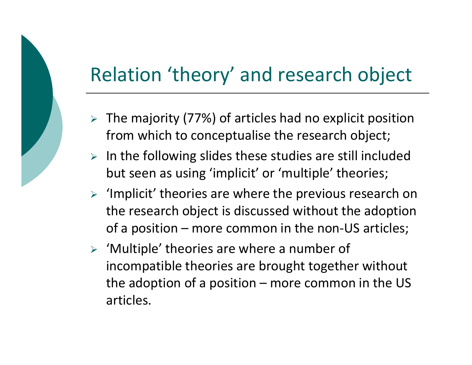### Relation 'theory' and research object

- > The majority (77%) of articles had no explicit position from which to conceptualise the research object;
- $\triangleright$  In the following slides these studies are still included but seen as using 'implicit' or 'multiple' theories;
- > 'Implicit' theories are where the previous research on the research object is discussed without the adoption of a position – more common in the non-US articles;
- 'Multiple' theories are where a number of incompatible theories are brought together without the adoption of a position – more common in the US articles.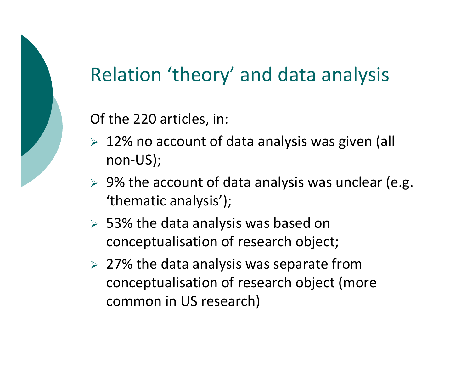# Relation 'theory' and data analysis

Of the 220 articles, in:

- > 12% no account of data analysis was given (all non-US);
- $\triangleright$  9% the account of data analysis was unclear (e.g. 'thematic analysis');
- > 53% the data analysis was based on conceptualisation of research object;
- $>$  27% the data analysis was separate from conceptualisation of research object (more common in US research)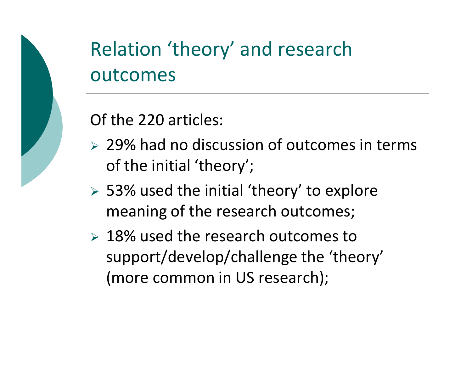

# Relation 'theory' and research outcomes

Of the 220 articles:

- > 29% had no discussion of outcomes in terms of the initial 'theory';
- > 53% used the initial 'theory' to explore meaning of the research outcomes;
- > 18% used the research outcomes to support/develop/challenge the 'theory' (more common in US research);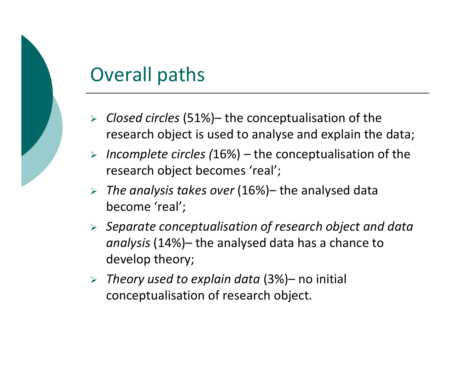### Overall paths

- $\triangleright$  Closed circles (51%)– the conceptualisation of the research object is used to analyse and explain the data;
- $\triangleright$  Incomplete circles (16%) the conceptualisation of the research object becomes 'real';
- $\triangleright$  The analysis takes over (16%)– the analysed data become 'real';
- $\triangleright$  Separate conceptualisation of research object and data analysis (14%)– the analysed data has a chance to develop theory;
- $\triangleright$  Theory used to explain data (3%)– no initial conceptualisation of research object.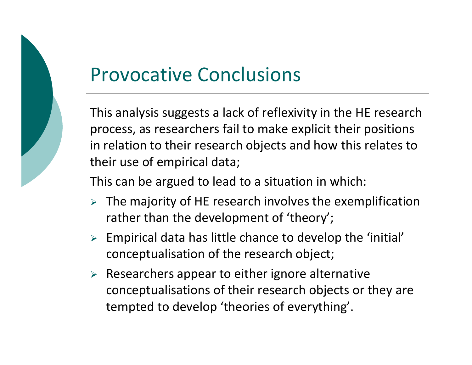

#### Provocative Conclusions

This analysis suggests a lack of reflexivity in the HE research process, as researchers fail to make explicit their positions in relation to their research objects and how this relates to their use of empirical data;

This can be argued to lead to a situation in which:

- $\triangleright$  The majority of HE research involves the exemplification rather than the development of 'theory';
- $\triangleright$  Empirical data has little chance to develop the 'initial' conceptualisation of the research object;
- $\triangleright$  Researchers appear to either ignore alternative conceptualisations of their research objects or they are tempted to develop 'theories of everything'.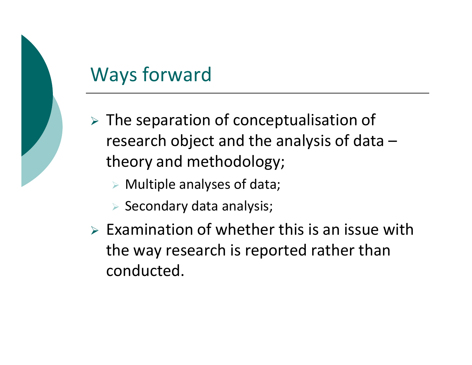# Ways forward

- $\triangleright$  The separation of conceptualisation of research object and the analysis of data –theory and methodology;
	- Multiple analyses of data;
	- $\triangleright$  Secondary data analysis;
- $\triangleright$  Examination of whether this is an issue with the way research is reported rather than conducted.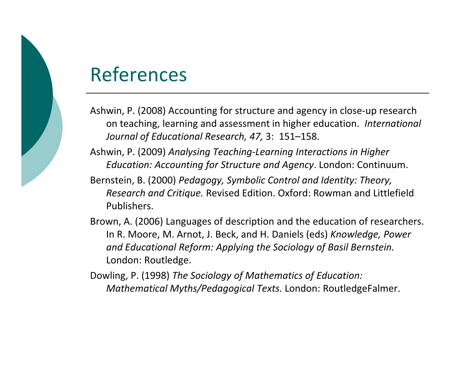#### References

Ashwin, P. (2008) Accounting for structure and agency in close-up research on teaching, learning and assessment in higher education. International Journal of Educational Research, 47, 3: 151–158.

Ashwin, P. (2009) Analysing Teaching-Learning Interactions in Higher Education: Accounting for Structure and Agency. London: Continuum.

Bernstein, B. (2000) Pedagogy, Symbolic Control and Identity: Theory, Research and Critique. Revised Edition. Oxford: Rowman and Littlefield Publishers.

Brown, A. (2006) Languages of description and the education of researchers. In R. Moore, M. Arnot, J. Beck, and H. Daniels (eds) Knowledge, Power and Educational Reform: Applying the Sociology of Basil Bernstein. London: Routledge.

Dowling, P. (1998) The Sociology of Mathematics of Education: Mathematical Myths/Pedagogical Texts. London: RoutledgeFalmer.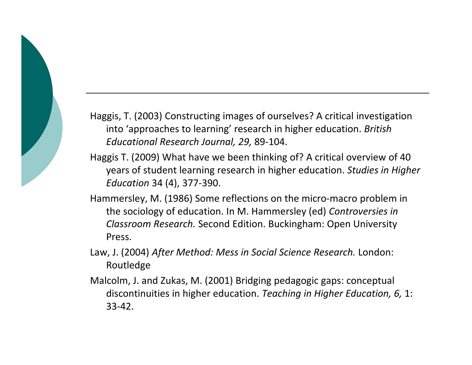Haggis, T. (2003) Constructing images of ourselves? A critical investigation into 'approaches to learning' research in higher education. British Educational Research Journal, 29, 89-104.

- Haggis T. (2009) What have we been thinking of? A critical overview of 40 years of student learning research in higher education. Studies in Higher Education 34 (4), 377-390.
- Hammersley, M. (1986) Some reflections on the micro-macro problem in the sociology of education. In M. Hammersley (ed) Controversies in Classroom Research. Second Edition. Buckingham: Open University Press.
- Law, J. (2004) After Method: Mess in Social Science Research. London: Routledge
- Malcolm, J. and Zukas, M. (2001) Bridging pedagogic gaps: conceptual discontinuities in higher education. Teaching in Higher Education, 6, 1: 33-42.